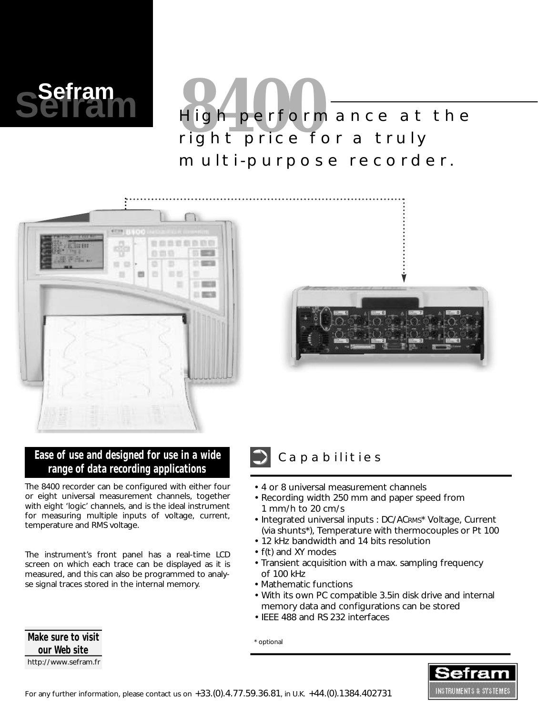

# **8400** High performance at the right price for a truly multi-purpose recorder.





## Ease of use and designed for use in a wide<br> **Capabilities range of data recording applications**

The 8400 recorder can be configured with either four or eight universal measurement channels, together with eight 'logic' channels, and is the ideal instrument for measuring multiple inputs of voltage, current, temperature and RMS voltage.

The instrument's front panel has a real-time LCD screen on which each trace can be displayed as it is measured, and this can also be programmed to analyse signal traces stored in the internal memory.

- 4 or 8 universal measurement channels
- Recording width 250 mm and paper speed from 1 mm/h to 20 cm/s
- Integrated universal inputs : DC/ACRMS\* Voltage, Current (via shunts\*), Temperature with thermocouples or Pt 100
- 12 kHz bandwidth and 14 bits resolution
- f(t) and XY modes
- Transient acquisition with a max. sampling frequency of 100 kHz
- Mathematic functions
- With its own PC compatible 3.5in disk drive and internal memory data and configurations can be stored
- IEEE 488 and RS 232 interfaces

\* optional



**Make sure to visit our Web site** http://www.sefram.fr